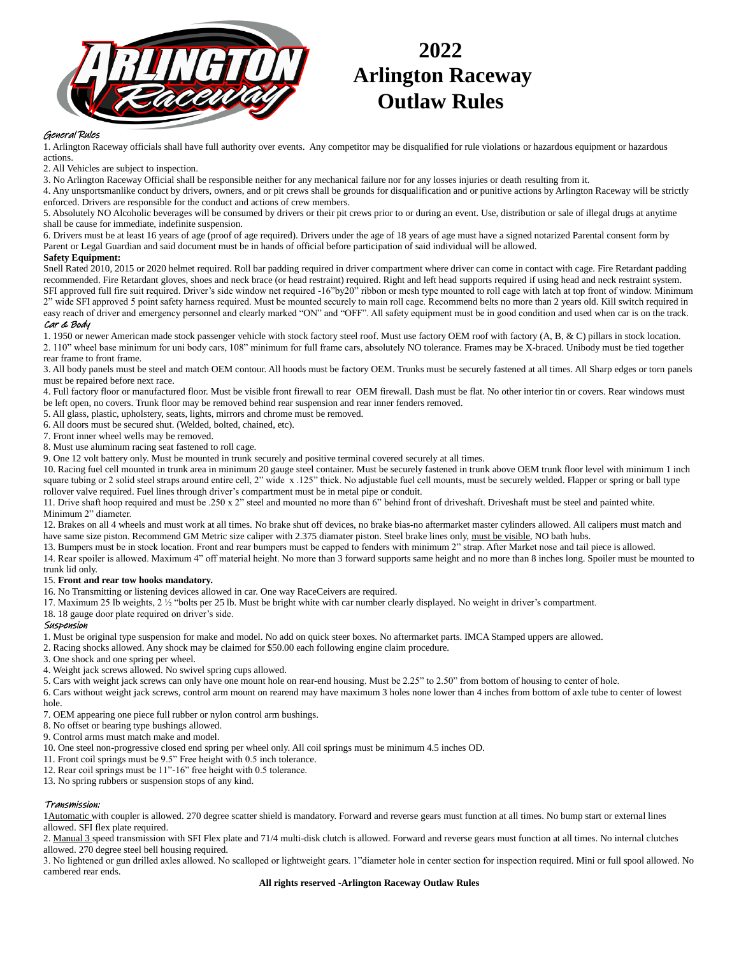

# **2022 Arlington Raceway Outlaw Rules**

## General Rules

1. Arlington Raceway officials shall have full authority over events. Any competitor may be disqualified for rule violations or hazardous equipment or hazardous actions.

2. All Vehicles are subject to inspection.

3. No Arlington Raceway Official shall be responsible neither for any mechanical failure nor for any losses injuries or death resulting from it.

4. Any unsportsmanlike conduct by drivers, owners, and or pit crews shall be grounds for disqualification and or punitive actions by Arlington Raceway will be strictly enforced. Drivers are responsible for the conduct and actions of crew members.

5. Absolutely NO Alcoholic beverages will be consumed by drivers or their pit crews prior to or during an event. Use, distribution or sale of illegal drugs at anytime shall be cause for immediate, indefinite suspension.

6. Drivers must be at least 16 years of age (proof of age required). Drivers under the age of 18 years of age must have a signed notarized Parental consent form by Parent or Legal Guardian and said document must be in hands of official before participation of said individual will be allowed.

#### **Safety Equipment:**

Snell Rated 2010, 2015 or 2020 helmet required. Roll bar padding required in driver compartment where driver can come in contact with cage. Fire Retardant padding recommended. Fire Retardant gloves, shoes and neck brace (or head restraint) required. Right and left head supports required if using head and neck restraint system. SFI approved full fire suit required. Driver's side window net required -16"by20" ribbon or mesh type mounted to roll cage with latch at top front of window. Minimum 2" wide SFI approved 5 point safety harness required. Must be mounted securely to main roll cage. Recommend belts no more than 2 years old. Kill switch required in easy reach of driver and emergency personnel and clearly marked "ON" and "OFF". All safety equipment must be in good condition and used when car is on the track.

### Car & Body

1. 1950 or newer American made stock passenger vehicle with stock factory steel roof. Must use factory OEM roof with factory (A, B, & C) pillars in stock location. 2. 110" wheel base minimum for uni body cars, 108" minimum for full frame cars, absolutely NO tolerance. Frames may be X-braced. Unibody must be tied together rear frame to front frame.

3. All body panels must be steel and match OEM contour. All hoods must be factory OEM. Trunks must be securely fastened at all times. All Sharp edges or torn panels must be repaired before next race.

4. Full factory floor or manufactured floor. Must be visible front firewall to rear OEM firewall. Dash must be flat. No other interior tin or covers. Rear windows must be left open, no covers. Trunk floor may be removed behind rear suspension and rear inner fenders removed.

5. All glass, plastic, upholstery, seats, lights, mirrors and chrome must be removed.

6. All doors must be secured shut. (Welded, bolted, chained, etc).

7. Front inner wheel wells may be removed.

8. Must use aluminum racing seat fastened to roll cage.

9. One 12 volt battery only. Must be mounted in trunk securely and positive terminal covered securely at all times.

10. Racing fuel cell mounted in trunk area in minimum 20 gauge steel container. Must be securely fastened in trunk above OEM trunk floor level with minimum 1 inch square tubing or 2 solid steel straps around entire cell, 2" wide x .125" thick. No adjustable fuel cell mounts, must be securely welded. Flapper or spring or ball type

rollover valve required. Fuel lines through driver's compartment must be in metal pipe or conduit.

11. Drive shaft hoop required and must be .250 x 2" steel and mounted no more than 6" behind front of driveshaft. Driveshaft must be steel and painted white. Minimum 2" diameter.

12. Brakes on all 4 wheels and must work at all times. No brake shut off devices, no brake bias-no aftermarket master cylinders allowed. All calipers must match and have same size piston. Recommend GM Metric size caliper with 2.375 diamater piston. Steel brake lines only, must be visible, NO bath hubs.

13. Bumpers must be in stock location. Front and rear bumpers must be capped to fenders with minimum 2" strap. After Market nose and tail piece is allowed.

14. Rear spoiler is allowed. Maximum 4" off material height. No more than 3 forward supports same height and no more than 8 inches long. Spoiler must be mounted to trunk lid only.

#### 15. **Front and rear tow hooks mandatory.**

16. No Transmitting or listening devices allowed in car. One way RaceCeivers are required.

17. Maximum 25 lb weights, 2 ½ "bolts per 25 lb. Must be bright white with car number clearly displayed. No weight in driver's compartment.

18. 18 gauge door plate required on driver's side.

#### Suspension

1. Must be original type suspension for make and model. No add on quick steer boxes. No aftermarket parts. IMCA Stamped uppers are allowed.

2. Racing shocks allowed. Any shock may be claimed for \$50.00 each following engine claim procedure.

3. One shock and one spring per wheel.

- 4. Weight jack screws allowed. No swivel spring cups allowed.
- 5. Cars with weight jack screws can only have one mount hole on rear-end housing. Must be 2.25" to 2.50" from bottom of housing to center of hole.

6. Cars without weight jack screws, control arm mount on rearend may have maximum 3 holes none lower than 4 inches from bottom of axle tube to center of lowest hole.

7. OEM appearing one piece full rubber or nylon control arm bushings.

8. No offset or bearing type bushings allowed.

9. Control arms must match make and model.

10. One steel non-progressive closed end spring per wheel only. All coil springs must be minimum 4.5 inches OD.

- 11. Front coil springs must be 9.5" Free height with 0.5 inch tolerance.
- 12. Rear coil springs must be 11"-16" free height with 0.5 tolerance.

13. No spring rubbers or suspension stops of any kind.

### Transmission:

1Automatic with coupler is allowed. 270 degree scatter shield is mandatory. Forward and reverse gears must function at all times. No bump start or external lines allowed. SFI flex plate required.

2. Manual 3 speed transmission with SFI Flex plate and 71/4 multi-disk clutch is allowed. Forward and reverse gears must function at all times. No internal clutches allowed. 270 degree steel bell housing required.

3. No lightened or gun drilled axles allowed. No scalloped or lightweight gears. 1"diameter hole in center section for inspection required. Mini or full spool allowed. No cambered rear ends.

**All rights reserved -Arlington Raceway Outlaw Rules**